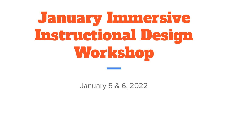# January Immersive Instructional Design Workshop

January 5 & 6, 2022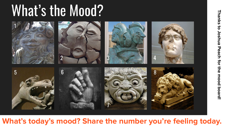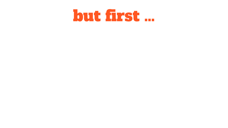# but first …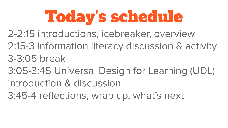# Today's schedule

2-2:15 introductions, icebreaker, overview

2:15-3 information literacy discussion & activity 3-3:05 break

3:05-3:45 Universal Design for Learning (UDL) introduction & discussion

3:45-4 reflections, wrap up, what's next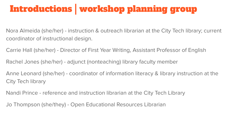## Introductions | workshop planning group

Nora Almeida (she/her) - instruction & outreach librarian at the City Tech library; current coordinator of instructional design.

Carrie Hall (she/her) - Director of First Year Writing, Assistant Professor of English

Rachel Jones (she/her) - adjunct (nonteaching) library faculty member

Anne Leonard (she/her) - coordinator of information literacy & library instruction at the City Tech library

Nandi Prince - reference and instruction librarian at the City Tech Library

Jo Thompson (she/they) - Open Educational Resources Librarian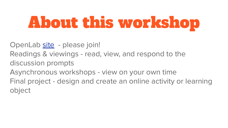# About this workshop

OpenLab [site](https://openlab.citytech.cuny.edu/groups/immersive-instructional-design-workshop-859182899/) - please join!

- Readings & viewings read, view, and respond to the discussion prompts
- Asynchronous workshops view on your own time

Final project - design and create an online activity or learning object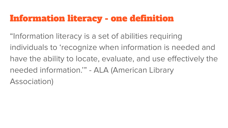#### Information literacy - one definition

"Information literacy is a set of abilities requiring individuals to 'recognize when information is needed and have the ability to locate, evaluate, and use effectively the needed information.'" - ALA (American Library Association)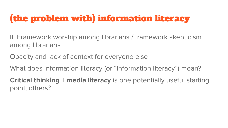## (the problem with) information literacy

IL Framework worship among librarians / framework skepticism among librarians

Opacity and lack of context for everyone else

What does information literacy (or "information literacy") mean?

**Critical thinking + media literacy** is one potentially useful starting point; others?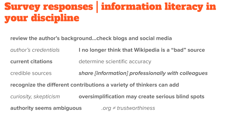# Survey responses | information literacy in your discipline

**review the author's background…check blogs and social media**

author's credentials **I no longer think that Wikipedia is a "bad" source**

**current citations** determine scientific accuracy

credible sources **share [information] professionally with colleagues**

**recognize the different contributions a variety of thinkers can add**

curiosity, skepticism **oversimplification may create serious blind spots**

**authority seems ambiguous** .org ≠ trustworthiness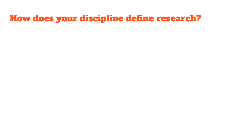#### How does your discipline define research?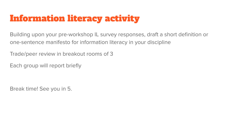#### Information literacy activity

Building upon your pre-workshop IL survey responses, draft a short definition or one-sentence manifesto for information literacy in your discipline

Trade/peer review in breakout rooms of 3

Each group will report briefly

Break time! See you in 5.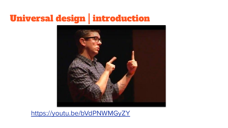## Universal design | introduction



<https://youtu.be/bVdPNWMGyZY>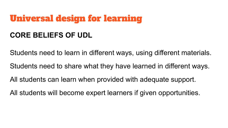#### Universal design for learning

#### **CORE BELIEFS OF UDL**

Students need to learn in different ways, using different materials.

Students need to share what they have learned in different ways.

All students can learn when provided with adequate support.

All students will become expert learners if given opportunities.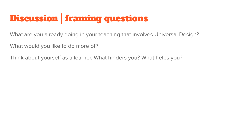## Discussion | framing questions

What are you already doing in your teaching that involves Universal Design?

What would you like to do more of?

Think about yourself as a learner. What hinders you? What helps you?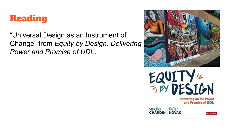

"Universal Design as an Instrument of Change" from *Equity by Design: Delivering Power and Promise of UDL*.

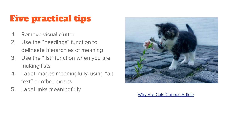### Five practical tips

- 1. Remove visual clutter
- 2. Use the "headings" function to delineate hierarchies of meaning
- 3. Use the "list" function when you are making lists
- 4. Label images meaningfully, using "alt text" or other means.
- 5. Label links meaningfully



[Why Are Cats Curious Article](https://iheartcats.com/cats-naturally-curious/#:~:text=Our%20feline%20friends%20are%20famous%20for%20their%20insatiable%20curiosity.&text=As%20with%20many%20of%20their,their%20species%20alive%20for%20centuries.)